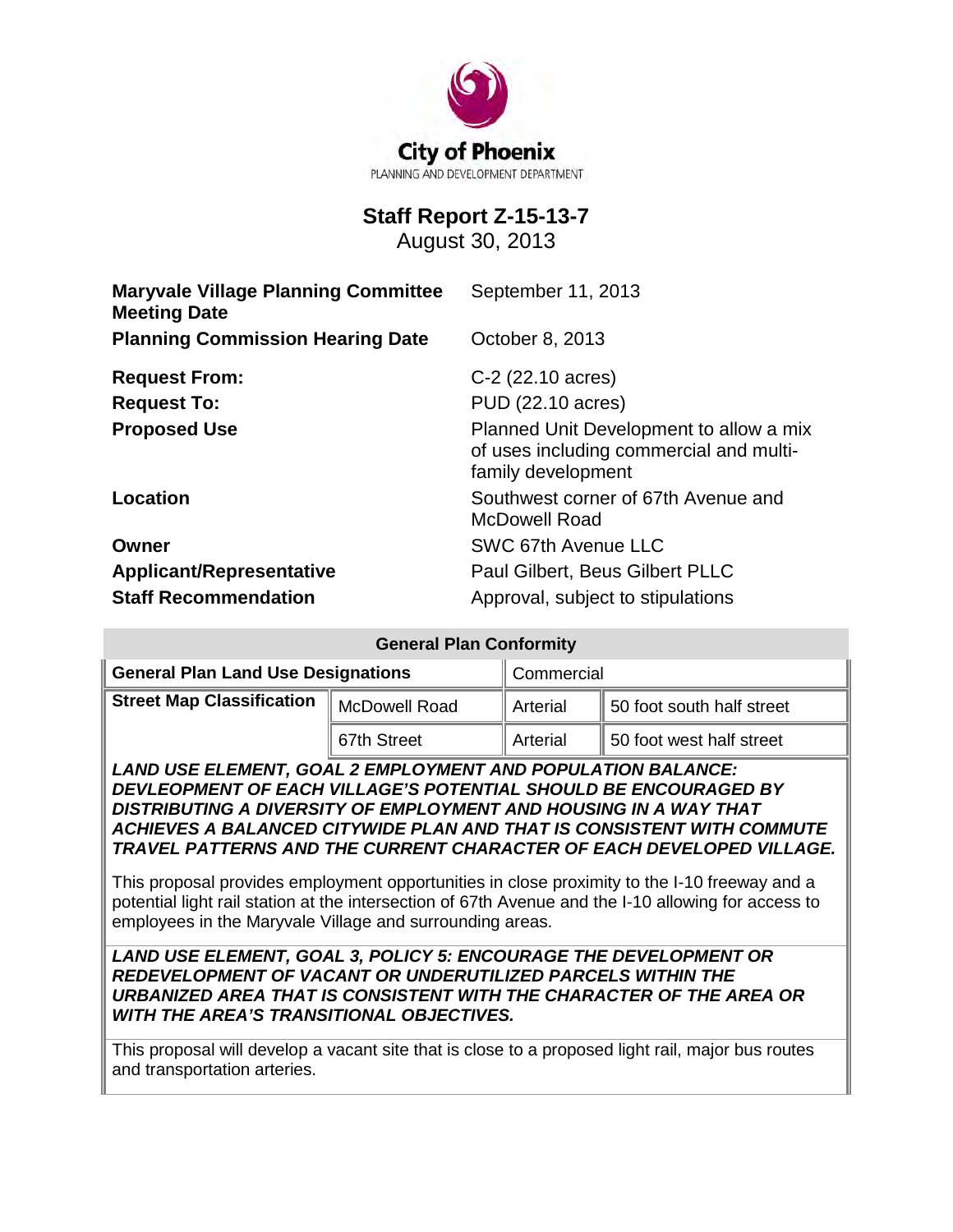

# **Staff Report Z-15-13-7**

August 30, 2013

| <b>Maryvale Village Planning Committee</b><br><b>Meeting Date</b> | September 11, 2013                                                                                       |
|-------------------------------------------------------------------|----------------------------------------------------------------------------------------------------------|
| <b>Planning Commission Hearing Date</b>                           | October 8, 2013                                                                                          |
| <b>Request From:</b>                                              | C-2 (22.10 acres)                                                                                        |
| <b>Request To:</b>                                                | PUD (22.10 acres)                                                                                        |
| <b>Proposed Use</b>                                               | Planned Unit Development to allow a mix<br>of uses including commercial and multi-<br>family development |
| <b>Location</b>                                                   | Southwest corner of 67th Avenue and<br><b>McDowell Road</b>                                              |
| Owner                                                             | SWC 67th Avenue LLC                                                                                      |
| <b>Applicant/Representative</b>                                   | Paul Gilbert, Beus Gilbert PLLC                                                                          |
| <b>Staff Recommendation</b>                                       | Approval, subject to stipulations                                                                        |

| <b>General Plan Conformity</b>                                                                                                                                                                                                                                                                                                                                                                                                                                                                                                                                                                                                                                                                                                                                                 |                      |            |                           |  |
|--------------------------------------------------------------------------------------------------------------------------------------------------------------------------------------------------------------------------------------------------------------------------------------------------------------------------------------------------------------------------------------------------------------------------------------------------------------------------------------------------------------------------------------------------------------------------------------------------------------------------------------------------------------------------------------------------------------------------------------------------------------------------------|----------------------|------------|---------------------------|--|
| <b>General Plan Land Use Designations</b>                                                                                                                                                                                                                                                                                                                                                                                                                                                                                                                                                                                                                                                                                                                                      |                      | Commercial |                           |  |
| <b>Street Map Classification</b>                                                                                                                                                                                                                                                                                                                                                                                                                                                                                                                                                                                                                                                                                                                                               | <b>McDowell Road</b> | Arterial   | 50 foot south half street |  |
|                                                                                                                                                                                                                                                                                                                                                                                                                                                                                                                                                                                                                                                                                                                                                                                | 67th Street          | Arterial   | 50 foot west half street  |  |
| <b>LAND USE ELEMENT, GOAL 2 EMPLOYMENT AND POPULATION BALANCE:</b><br>DEVLEOPMENT OF EACH VILLAGE'S POTENTIAL SHOULD BE ENCOURAGED BY<br>DISTRIBUTING A DIVERSITY OF EMPLOYMENT AND HOUSING IN A WAY THAT<br>ACHIEVES A BALANCED CITYWIDE PLAN AND THAT IS CONSISTENT WITH COMMUTE<br>TRAVEL PATTERNS AND THE CURRENT CHARACTER OF EACH DEVELOPED VILLAGE.<br>This proposal provides employment opportunities in close proximity to the I-10 freeway and a<br>potential light rail station at the intersection of 67th Avenue and the I-10 allowing for access to<br>employees in the Maryvale Village and surrounding areas.<br><b>LAND USE ELEMENT, GOAL 3, POLICY 5: ENCOURAGE THE DEVELOPMENT OR</b><br><b>REDEVELOPMENT OF VACANT OR UNDERUTILIZED PARCELS WITHIN THE</b> |                      |            |                           |  |
| URBANIZED AREA THAT IS CONSISTENT WITH THE CHARACTER OF THE AREA OR<br><b>WITH THE AREA'S TRANSITIONAL OBJECTIVES.</b>                                                                                                                                                                                                                                                                                                                                                                                                                                                                                                                                                                                                                                                         |                      |            |                           |  |
| This proposal will develop a vacant site that is close to a proposed light rail, major bus routes<br>and transportation arteries.                                                                                                                                                                                                                                                                                                                                                                                                                                                                                                                                                                                                                                              |                      |            |                           |  |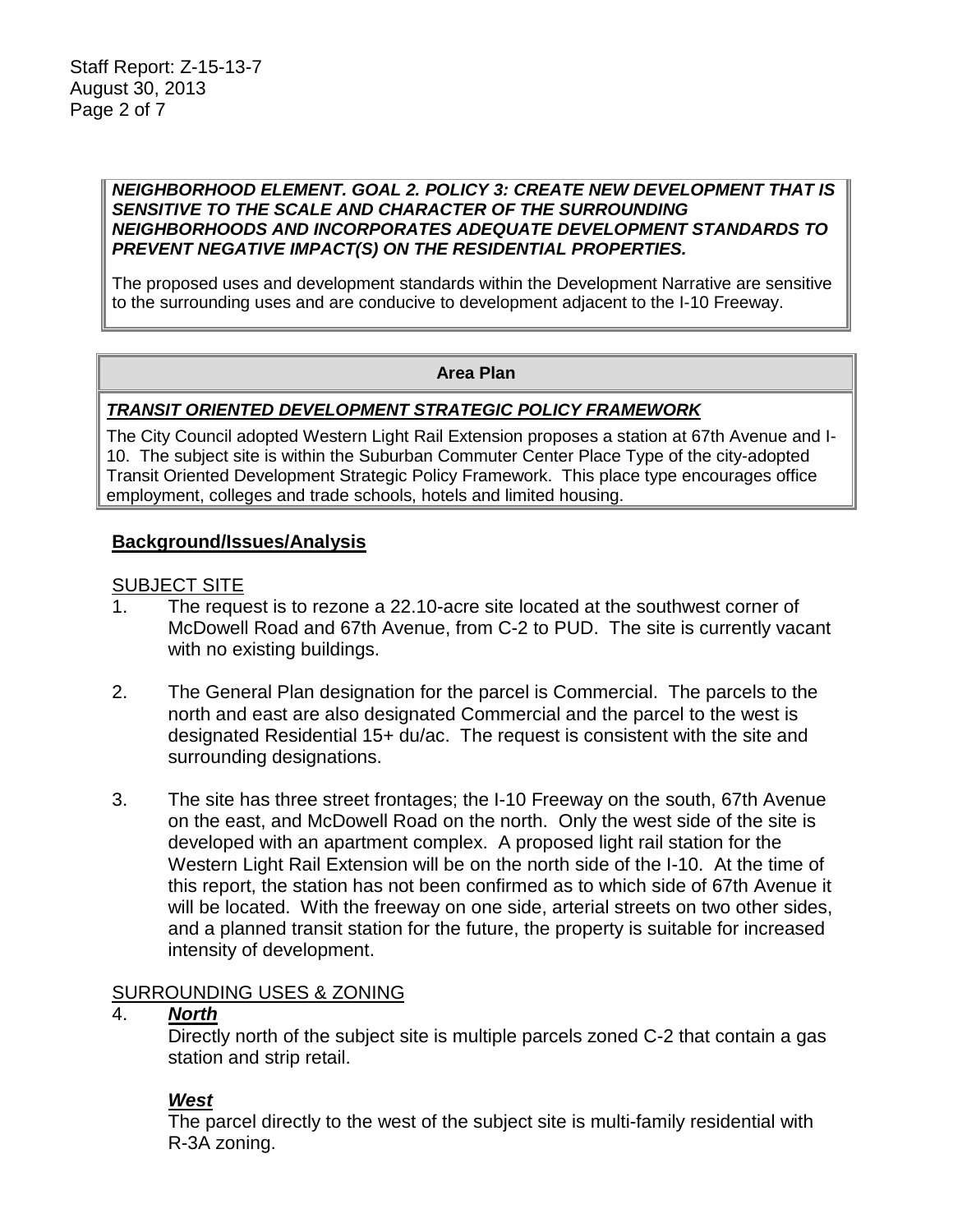#### *NEIGHBORHOOD ELEMENT. GOAL 2. POLICY 3: CREATE NEW DEVELOPMENT THAT IS SENSITIVE TO THE SCALE AND CHARACTER OF THE SURROUNDING NEIGHBORHOODS AND INCORPORATES ADEQUATE DEVELOPMENT STANDARDS TO PREVENT NEGATIVE IMPACT(S) ON THE RESIDENTIAL PROPERTIES.*

The proposed uses and development standards within the Development Narrative are sensitive to the surrounding uses and are conducive to development adjacent to the I-10 Freeway.

#### **Area Plan**

## *TRANSIT ORIENTED DEVELOPMENT STRATEGIC POLICY FRAMEWORK*

The City Council adopted Western Light Rail Extension proposes a station at 67th Avenue and I-10. The subject site is within the Suburban Commuter Center Place Type of the city-adopted Transit Oriented Development Strategic Policy Framework. This place type encourages office employment, colleges and trade schools, hotels and limited housing.

#### **Background/Issues/Analysis**

#### SUBJECT SITE

- 1. The request is to rezone a 22.10-acre site located at the southwest corner of McDowell Road and 67th Avenue, from C-2 to PUD. The site is currently vacant with no existing buildings.
- 2. The General Plan designation for the parcel is Commercial. The parcels to the north and east are also designated Commercial and the parcel to the west is designated Residential 15+ du/ac. The request is consistent with the site and surrounding designations.
- 3. The site has three street frontages; the I-10 Freeway on the south, 67th Avenue on the east, and McDowell Road on the north. Only the west side of the site is developed with an apartment complex. A proposed light rail station for the Western Light Rail Extension will be on the north side of the I-10. At the time of this report, the station has not been confirmed as to which side of 67th Avenue it will be located. With the freeway on one side, arterial streets on two other sides, and a planned transit station for the future, the property is suitable for increased intensity of development.

#### SURROUNDING USES & ZONING

#### 4. *North*

Directly north of the subject site is multiple parcels zoned C-2 that contain a gas station and strip retail.

#### *West*

The parcel directly to the west of the subject site is multi-family residential with R-3A zoning.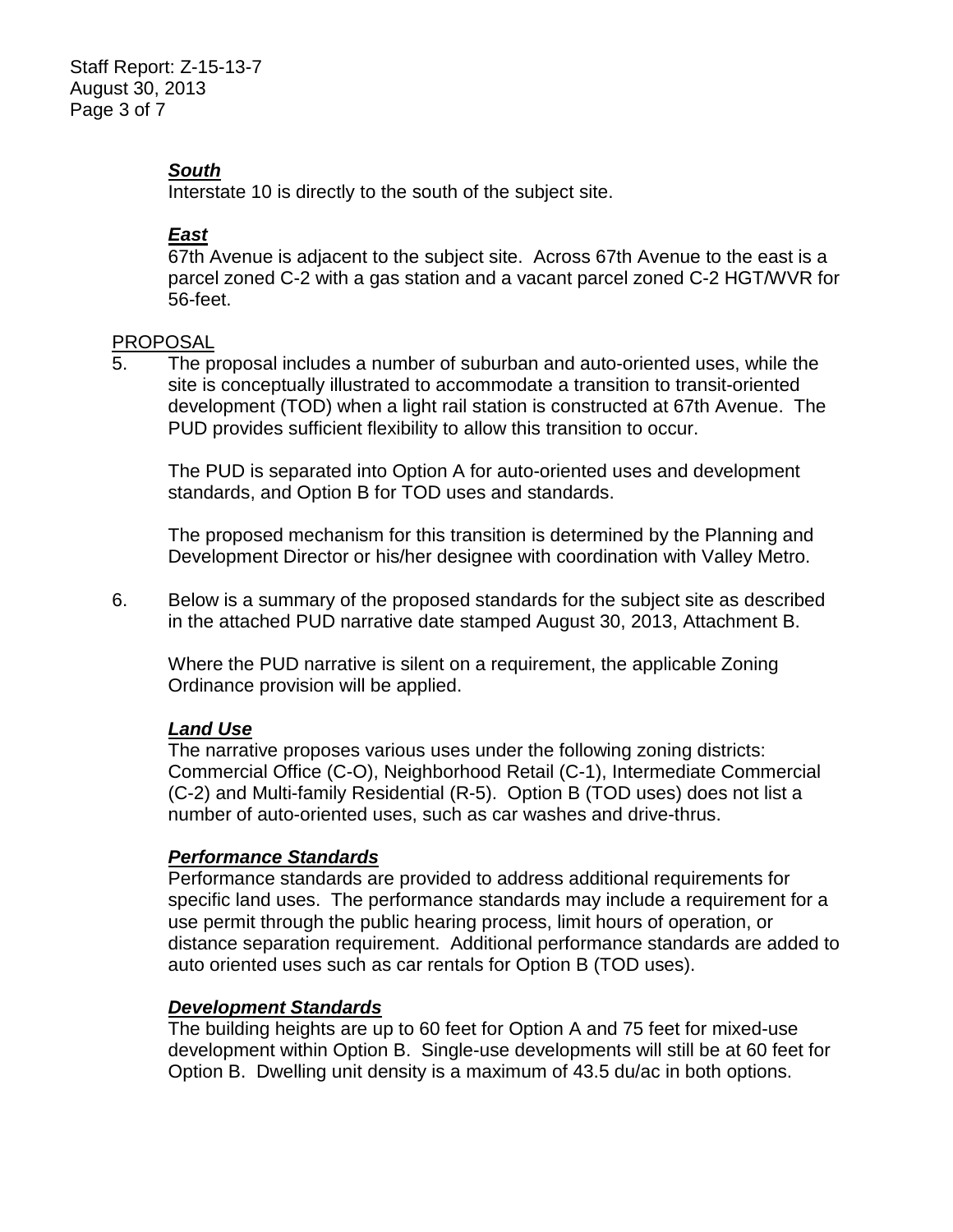Staff Report: Z-15-13-7 August 30, 2013 Page 3 of 7

# *South*

Interstate 10 is directly to the south of the subject site.

# *East*

67th Avenue is adjacent to the subject site. Across 67th Avenue to the east is a parcel zoned C-2 with a gas station and a vacant parcel zoned C-2 HGT/WVR for 56-feet.

#### PROPOSAL

5. The proposal includes a number of suburban and auto-oriented uses, while the site is conceptually illustrated to accommodate a transition to transit-oriented development (TOD) when a light rail station is constructed at 67th Avenue. The PUD provides sufficient flexibility to allow this transition to occur.

The PUD is separated into Option A for auto-oriented uses and development standards, and Option B for TOD uses and standards.

The proposed mechanism for this transition is determined by the Planning and Development Director or his/her designee with coordination with Valley Metro.

6. Below is a summary of the proposed standards for the subject site as described in the attached PUD narrative date stamped August 30, 2013, Attachment B.

Where the PUD narrative is silent on a requirement, the applicable Zoning Ordinance provision will be applied.

## *Land Use*

The narrative proposes various uses under the following zoning districts: Commercial Office (C-O), Neighborhood Retail (C-1), Intermediate Commercial (C-2) and Multi-family Residential (R-5). Option B (TOD uses) does not list a number of auto-oriented uses, such as car washes and drive-thrus.

## *Performance Standards*

Performance standards are provided to address additional requirements for specific land uses. The performance standards may include a requirement for a use permit through the public hearing process, limit hours of operation, or distance separation requirement. Additional performance standards are added to auto oriented uses such as car rentals for Option B (TOD uses).

## *Development Standards*

The building heights are up to 60 feet for Option A and 75 feet for mixed-use development within Option B. Single-use developments will still be at 60 feet for Option B. Dwelling unit density is a maximum of 43.5 du/ac in both options.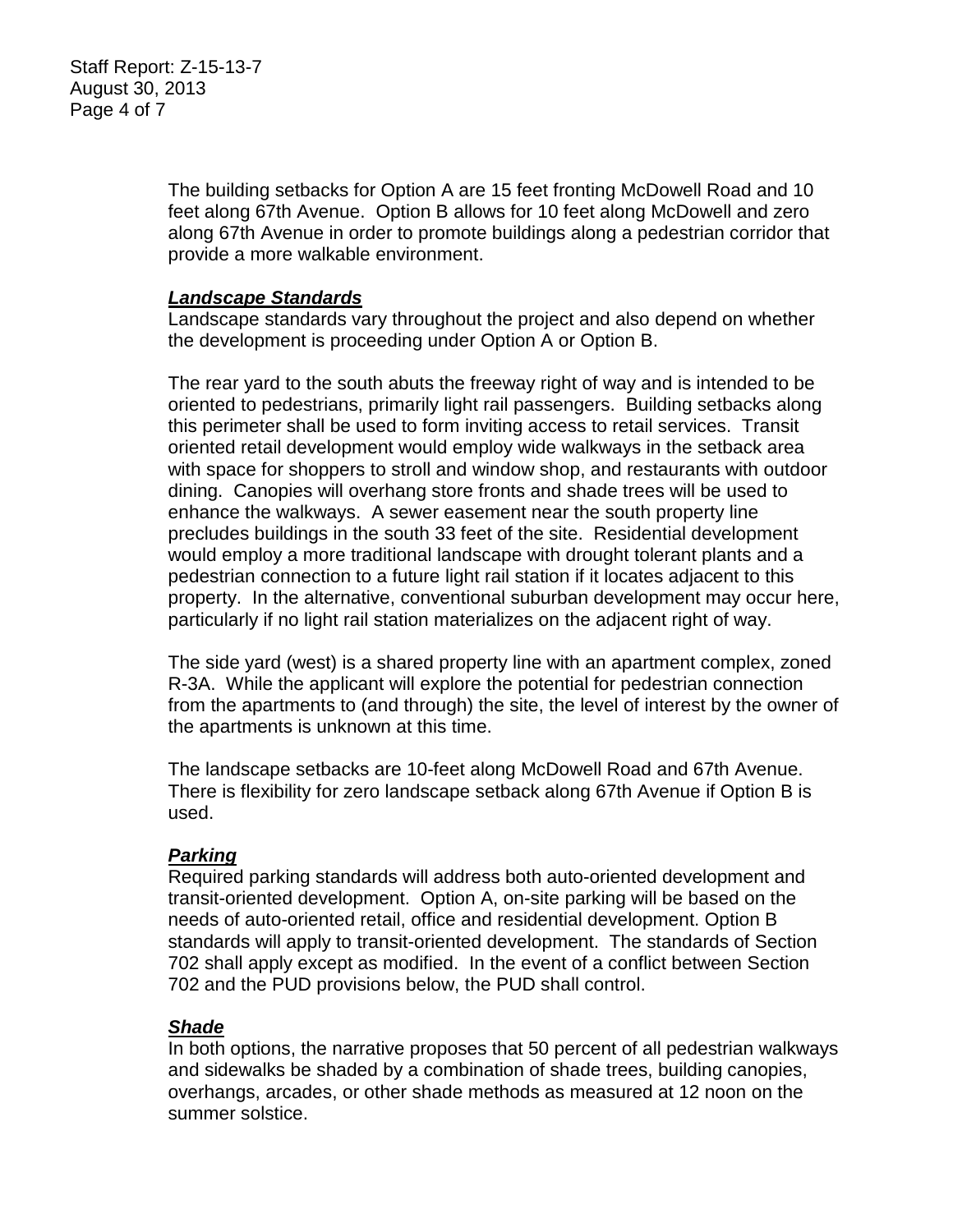Staff Report: Z-15-13-7 August 30, 2013 Page 4 of 7

> The building setbacks for Option A are 15 feet fronting McDowell Road and 10 feet along 67th Avenue. Option B allows for 10 feet along McDowell and zero along 67th Avenue in order to promote buildings along a pedestrian corridor that provide a more walkable environment.

#### *Landscape Standards*

Landscape standards vary throughout the project and also depend on whether the development is proceeding under Option A or Option B.

The rear yard to the south abuts the freeway right of way and is intended to be oriented to pedestrians, primarily light rail passengers. Building setbacks along this perimeter shall be used to form inviting access to retail services. Transit oriented retail development would employ wide walkways in the setback area with space for shoppers to stroll and window shop, and restaurants with outdoor dining. Canopies will overhang store fronts and shade trees will be used to enhance the walkways. A sewer easement near the south property line precludes buildings in the south 33 feet of the site. Residential development would employ a more traditional landscape with drought tolerant plants and a pedestrian connection to a future light rail station if it locates adjacent to this property. In the alternative, conventional suburban development may occur here, particularly if no light rail station materializes on the adjacent right of way.

The side yard (west) is a shared property line with an apartment complex, zoned R-3A. While the applicant will explore the potential for pedestrian connection from the apartments to (and through) the site, the level of interest by the owner of the apartments is unknown at this time.

The landscape setbacks are 10-feet along McDowell Road and 67th Avenue. There is flexibility for zero landscape setback along 67th Avenue if Option B is used.

## *Parking*

Required parking standards will address both auto-oriented development and transit-oriented development. Option A, on-site parking will be based on the needs of auto-oriented retail, office and residential development. Option B standards will apply to transit-oriented development. The standards of Section 702 shall apply except as modified. In the event of a conflict between Section 702 and the PUD provisions below, the PUD shall control.

## *Shade*

In both options, the narrative proposes that 50 percent of all pedestrian walkways and sidewalks be shaded by a combination of shade trees, building canopies, overhangs, arcades, or other shade methods as measured at 12 noon on the summer solstice.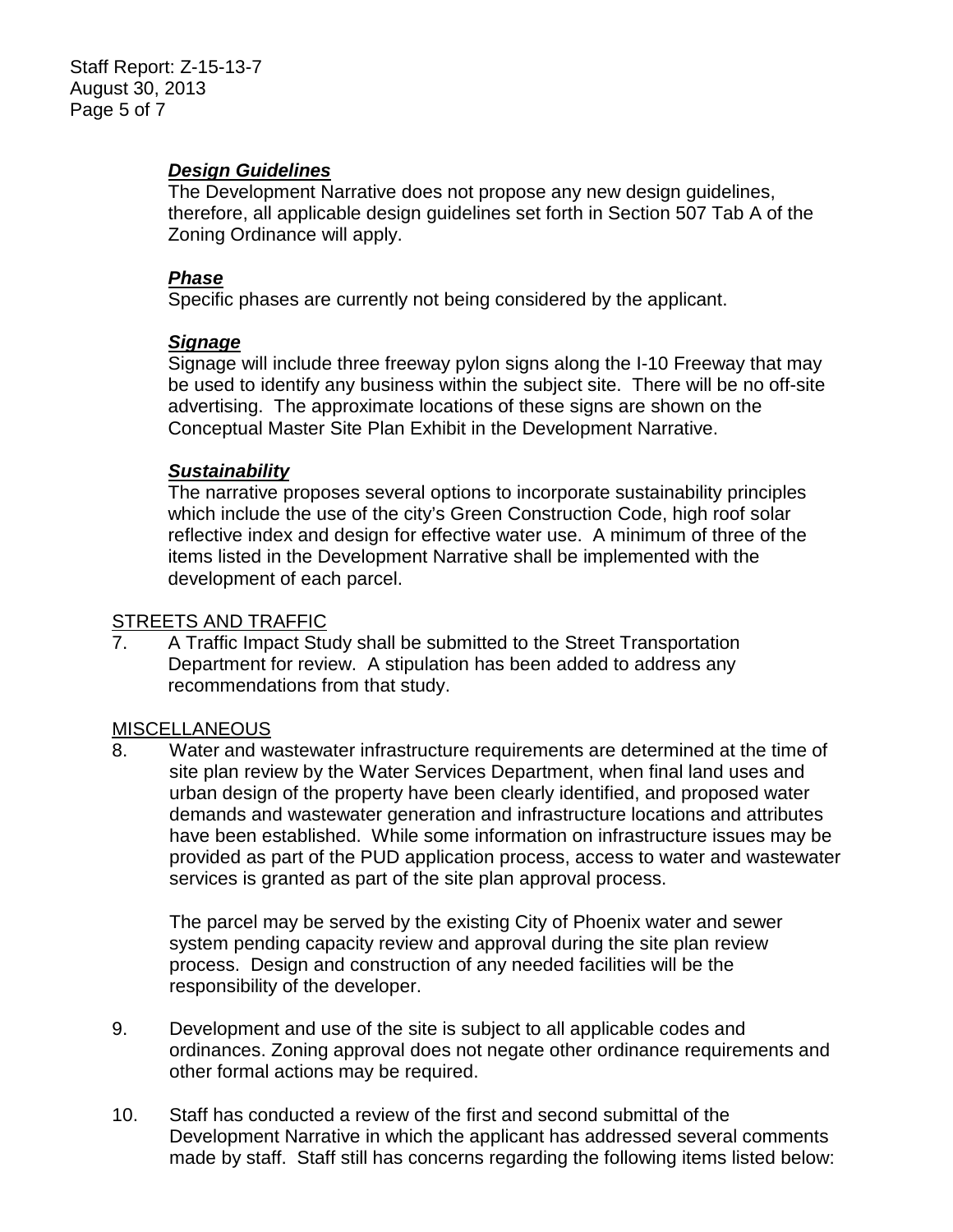# *Design Guidelines*

The Development Narrative does not propose any new design guidelines, therefore, all applicable design guidelines set forth in Section 507 Tab A of the Zoning Ordinance will apply.

## *Phase*

Specific phases are currently not being considered by the applicant.

## *Signage*

Signage will include three freeway pylon signs along the I-10 Freeway that may be used to identify any business within the subject site. There will be no off-site advertising. The approximate locations of these signs are shown on the Conceptual Master Site Plan Exhibit in the Development Narrative.

## *Sustainability*

The narrative proposes several options to incorporate sustainability principles which include the use of the city's Green Construction Code, high roof solar reflective index and design for effective water use. A minimum of three of the items listed in the Development Narrative shall be implemented with the development of each parcel.

## STREETS AND TRAFFIC

7. A Traffic Impact Study shall be submitted to the Street Transportation Department for review. A stipulation has been added to address any recommendations from that study.

## **MISCELLANEOUS**

8. Water and wastewater infrastructure requirements are determined at the time of site plan review by the Water Services Department, when final land uses and urban design of the property have been clearly identified, and proposed water demands and wastewater generation and infrastructure locations and attributes have been established. While some information on infrastructure issues may be provided as part of the PUD application process, access to water and wastewater services is granted as part of the site plan approval process.

The parcel may be served by the existing City of Phoenix water and sewer system pending capacity review and approval during the site plan review process. Design and construction of any needed facilities will be the responsibility of the developer.

- 9. Development and use of the site is subject to all applicable codes and ordinances. Zoning approval does not negate other ordinance requirements and other formal actions may be required.
- 10. Staff has conducted a review of the first and second submittal of the Development Narrative in which the applicant has addressed several comments made by staff. Staff still has concerns regarding the following items listed below: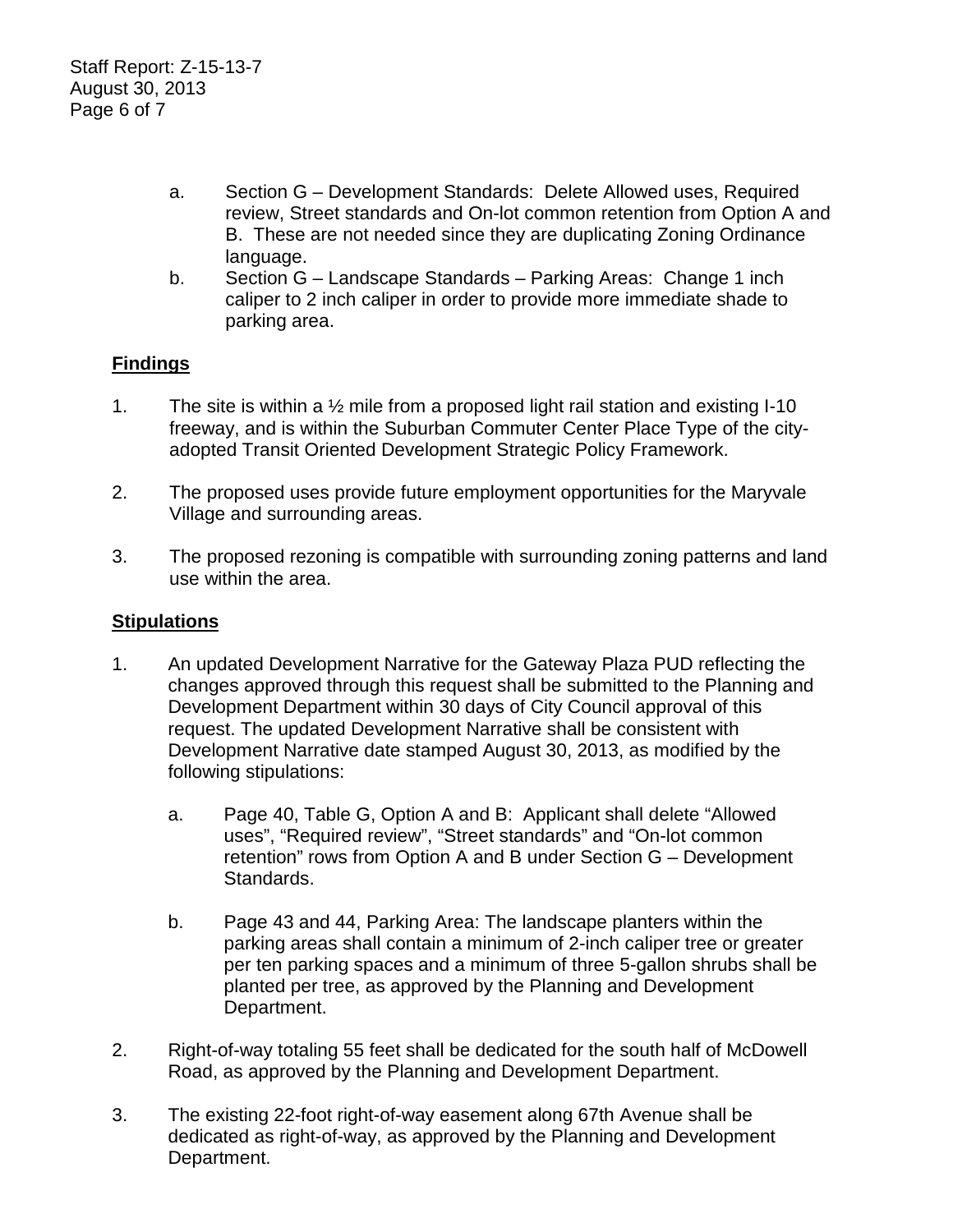- a. Section G Development Standards: Delete Allowed uses, Required review, Street standards and On-lot common retention from Option A and B. These are not needed since they are duplicating Zoning Ordinance language.
- b. Section G Landscape Standards Parking Areas: Change 1 inch caliper to 2 inch caliper in order to provide more immediate shade to parking area.

# **Findings**

- 1. The site is within a ½ mile from a proposed light rail station and existing I-10 freeway, and is within the Suburban Commuter Center Place Type of the cityadopted Transit Oriented Development Strategic Policy Framework.
- 2. The proposed uses provide future employment opportunities for the Maryvale Village and surrounding areas.
- 3. The proposed rezoning is compatible with surrounding zoning patterns and land use within the area.

## **Stipulations**

- 1. An updated Development Narrative for the Gateway Plaza PUD reflecting the changes approved through this request shall be submitted to the Planning and Development Department within 30 days of City Council approval of this request. The updated Development Narrative shall be consistent with Development Narrative date stamped August 30, 2013, as modified by the following stipulations:
	- a. Page 40, Table G, Option A and B: Applicant shall delete "Allowed uses", "Required review", "Street standards" and "On-lot common retention" rows from Option A and B under Section G – Development Standards.
	- b. Page 43 and 44, Parking Area: The landscape planters within the parking areas shall contain a minimum of 2-inch caliper tree or greater per ten parking spaces and a minimum of three 5-gallon shrubs shall be planted per tree, as approved by the Planning and Development Department.
- 2. Right-of-way totaling 55 feet shall be dedicated for the south half of McDowell Road, as approved by the Planning and Development Department.
- 3. The existing 22-foot right-of-way easement along 67th Avenue shall be dedicated as right-of-way, as approved by the Planning and Development Department.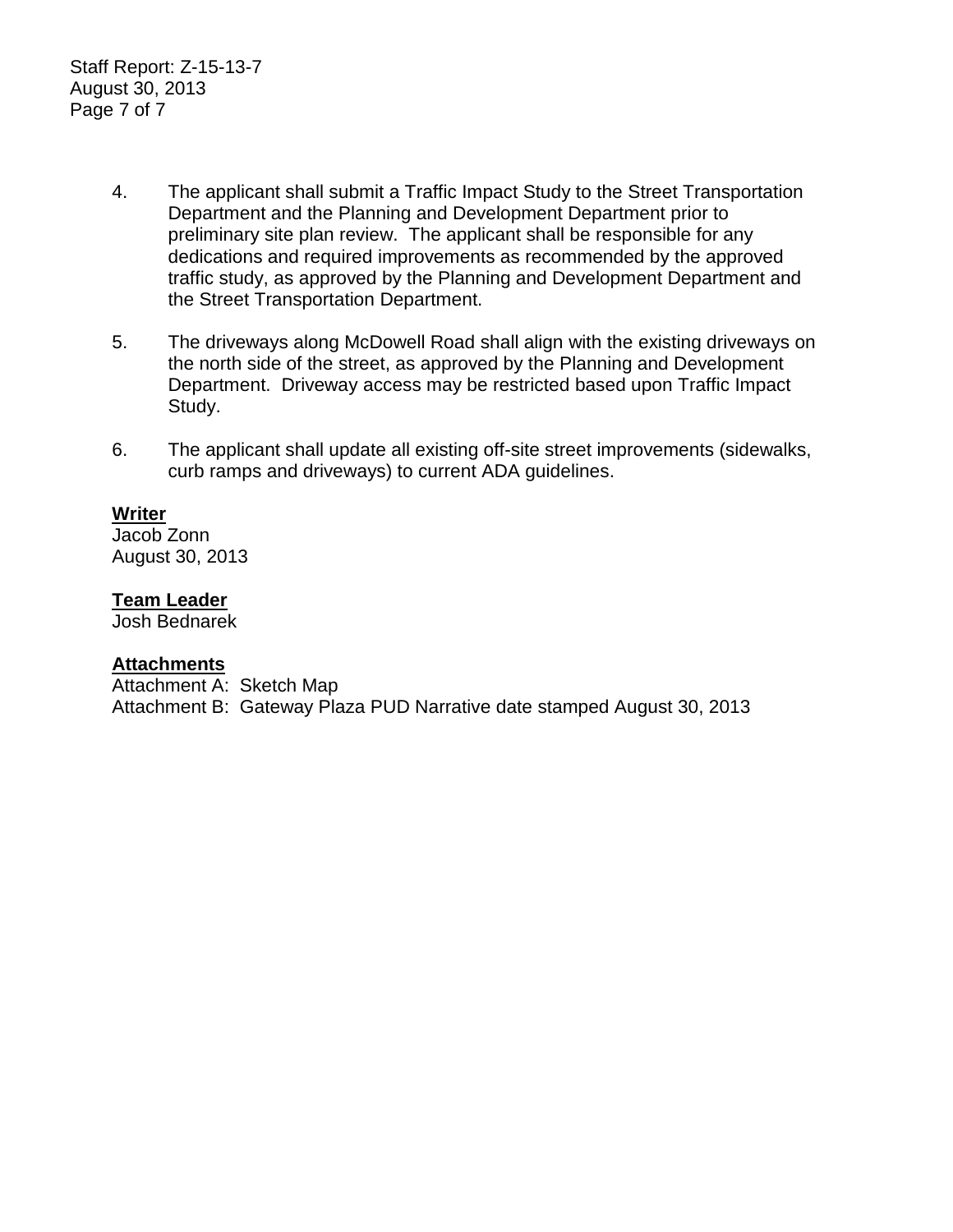Staff Report: Z-15-13-7 August 30, 2013 Page 7 of 7

- 4. The applicant shall submit a Traffic Impact Study to the Street Transportation Department and the Planning and Development Department prior to preliminary site plan review. The applicant shall be responsible for any dedications and required improvements as recommended by the approved traffic study, as approved by the Planning and Development Department and the Street Transportation Department.
- 5. The driveways along McDowell Road shall align with the existing driveways on the north side of the street, as approved by the Planning and Development Department. Driveway access may be restricted based upon Traffic Impact Study.
- 6. The applicant shall update all existing off-site street improvements (sidewalks, curb ramps and driveways) to current ADA guidelines.

# **Writer**

Jacob Zonn August 30, 2013

#### **Team Leader**

Josh Bednarek

## **Attachments**

Attachment A: Sketch Map Attachment B: Gateway Plaza PUD Narrative date stamped August 30, 2013